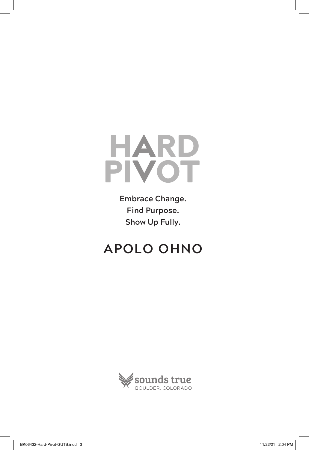

**Embrace Change. Find Purpose. Show Up Fully.**

## **APOLO OHNO**

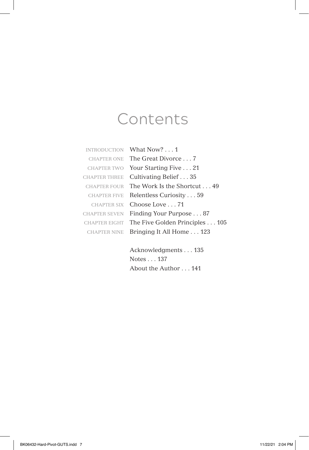# Contents

| <b>INTRODUCTION</b>  | What $Now? \dots 1$            |
|----------------------|--------------------------------|
| <b>CHAPTER ONE</b>   | The Great Divorce 7            |
| <b>CHAPTER TWO</b>   | Your Starting Five 21          |
| <b>CHAPTER THREE</b> | Cultivating Belief35           |
| <b>CHAPTER FOUR</b>  | The Work Is the Shortcut49     |
| <b>CHAPTER FIVE</b>  | Relentless Curiosity59         |
| <b>CHAPTER SIX</b>   | Choose Love 71                 |
| <b>CHAPTER SEVEN</b> | Finding Your Purpose 87        |
| <b>CHAPTER EIGHT</b> | The Five Golden Principles 105 |
| <b>CHAPTER NINE</b>  | Bringing It All Home 123       |

 Acknowledgments . . . 135 Notes . . . 137 About the Author . . . 141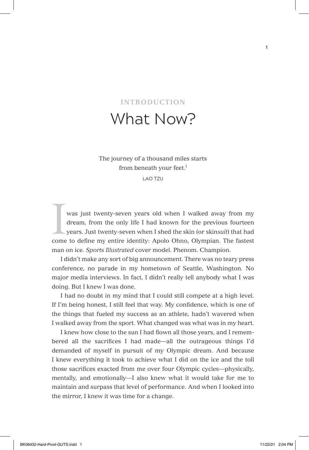### **INTRODUCTION** What Now?

The journey of a thousand miles starts from beneath your feet.<sup>1</sup> LAO TZU

I was just twenty-seven years old when I walked away from my dream, from the only life I had known for the previous fourteen years. Just twenty-seven when I shed the skin (or skin*suit*) that had come to define my entire identity: Apolo Ohno, Olympian. The fastest man on ice. *Sports Illustrated* cover model. Phenom. Champion.

I didn't make any sort of big announcement. There was no teary press conference, no parade in my hometown of Seattle, Washington. No major media interviews. In fact, I didn't really tell anybody what I was doing. But I knew I was done.

I had no doubt in my mind that I could still compete at a high level. If I'm being honest, I still feel that way. My confidence, which is one of the things that fueled my success as an athlete, hadn't wavered when I walked away from the sport. What changed was what was in my heart.

I knew how close to the sun I had flown all those years, and I remembered all the sacrifices I had made—all the outrageous things I'd demanded of myself in pursuit of my Olympic dream. And because I knew everything it took to achieve what I did on the ice and the toll those sacrifices exacted from me over four Olympic cycles—physically, mentally, and emotionally—I also knew what it would take for me to maintain and surpass that level of performance. And when I looked into the mirror, I knew it was time for a change.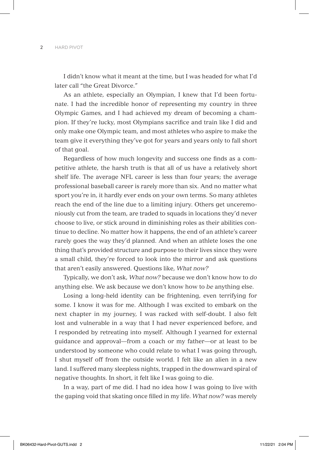I didn't know what it meant at the time, but I was headed for what I'd later call "the Great Divorce."

As an athlete, especially an Olympian, I knew that I'd been fortunate. I had the incredible honor of representing my country in three Olympic Games, and I had achieved my dream of becoming a champion. If they're lucky, most Olympians sacrifice and train like I did and only make one Olympic team, and most athletes who aspire to make the team give it everything they've got for years and years only to fall short of that goal.

Regardless of how much longevity and success one finds as a competitive athlete, the harsh truth is that all of us have a relatively short shelf life. The average NFL career is less than four years; the average professional baseball career is rarely more than six. And no matter what sport you're in, it hardly ever ends on your own terms. So many athletes reach the end of the line due to a limiting injury. Others get unceremoniously cut from the team, are traded to squads in locations they'd never choose to live, or stick around in diminishing roles as their abilities continue to decline. No matter how it happens, the end of an athlete's career rarely goes the way they'd planned. And when an athlete loses the one thing that's provided structure and purpose to their lives since they were a small child, they're forced to look into the mirror and ask questions that aren't easily answered. Questions like, *What now?*

Typically, we don't ask, *What now?* because we don't know how to *do* anything else. We ask because we don't know how to *be* anything else.

Losing a long-held identity can be frightening, even terrifying for some. I know it was for me. Although I was excited to embark on the next chapter in my journey, I was racked with self-doubt. I also felt lost and vulnerable in a way that I had never experienced before, and I responded by retreating into myself. Although I yearned for external guidance and approval—from a coach or my father—or at least to be understood by someone who could relate to what I was going through, I shut myself off from the outside world. I felt like an alien in a new land. I suffered many sleepless nights, trapped in the downward spiral of negative thoughts. In short, it felt like I was going to die.

In a way, part of me did. I had no idea how I was going to live with the gaping void that skating once filled in my life. *What now?* was merely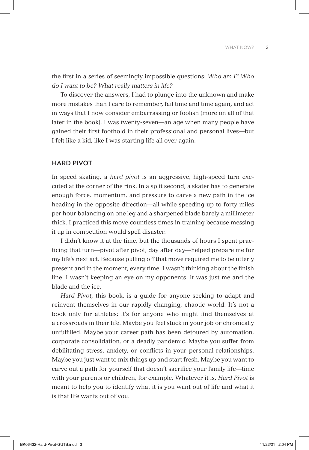the first in a series of seemingly impossible questions: *Who am I? Who do I want to be? What really matters in life?*

To discover the answers, I had to plunge into the unknown and make more mistakes than I care to remember, fail time and time again, and act in ways that I now consider embarrassing or foolish (more on all of that later in the book). I was twenty-seven—an age when many people have gained their first foothold in their professional and personal lives—but I felt like a kid, like I was starting life all over again.

#### **HARD PIVOT**

In speed skating, a *hard pivot* is an aggressive, high-speed turn executed at the corner of the rink. In a split second, a skater has to generate enough force, momentum, and pressure to carve a new path in the ice heading in the opposite direction—all while speeding up to forty miles per hour balancing on one leg and a sharpened blade barely a millimeter thick. I practiced this move countless times in training because messing it up in competition would spell disaster.

I didn't know it at the time, but the thousands of hours I spent practicing that turn—pivot after pivot, day after day—helped prepare me for my life's next act. Because pulling off that move required me to be utterly present and in the moment, every time. I wasn't thinking about the finish line. I wasn't keeping an eye on my opponents. It was just me and the blade and the ice.

*Hard Pivot*, this book, is a guide for anyone seeking to adapt and reinvent themselves in our rapidly changing, chaotic world. It's not a book only for athletes; it's for anyone who might find themselves at a crossroads in their life. Maybe you feel stuck in your job or chronically unfulfilled. Maybe your career path has been detoured by automation, corporate consolidation, or a deadly pandemic. Maybe you suffer from debilitating stress, anxiety, or conflicts in your personal relationships. Maybe you just want to mix things up and start fresh. Maybe you want to carve out a path for yourself that doesn't sacrifice your family life—time with your parents or children, for example. Whatever it is, *Hard Pivot* is meant to help you to identify what it is you want out of life and what it is that life wants out of you.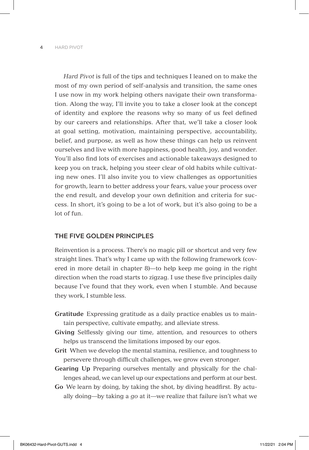*Hard Pivot* is full of the tips and techniques I leaned on to make the most of my own period of self-analysis and transition, the same ones I use now in my work helping others navigate their own transformation. Along the way, I'll invite you to take a closer look at the concept of identity and explore the reasons why so many of us feel defined by our careers and relationships. After that, we'll take a closer look at goal setting, motivation, maintaining perspective, accountability, belief, and purpose, as well as how these things can help us reinvent ourselves and live with more happiness, good health, joy, and wonder. You'll also find lots of exercises and actionable takeaways designed to keep you on track, helping you steer clear of old habits while cultivating new ones. I'll also invite you to view challenges as opportunities for growth, learn to better address your fears, value your process over the end result, and develop your own definition and criteria for success. In short, it's going to be a lot of work, but it's also going to be a lot of fun.

#### **THE FIVE GOLDEN PRINCIPLES**

Reinvention is a process. There's no magic pill or shortcut and very few straight lines. That's why I came up with the following framework (covered in more detail in chapter 8)—to help keep me going in the right direction when the road starts to zigzag. I use these five principles daily because I've found that they work, even when I stumble. And because they work, I stumble less.

- **Gratitude** Expressing gratitude as a daily practice enables us to maintain perspective, cultivate empathy, and alleviate stress.
- **Giving** Selflessly giving our time, attention, and resources to others helps us transcend the limitations imposed by our egos.
- **Grit** When we develop the mental stamina, resilience, and toughness to persevere through difficult challenges, we grow even stronger.
- **Gearing Up** Preparing ourselves mentally and physically for the challenges ahead, we can level up our expectations and perform at our best.
- **Go** We learn by doing, by taking the shot, by diving headfirst. By actually doing—by taking a *go* at it—we realize that failure isn't what we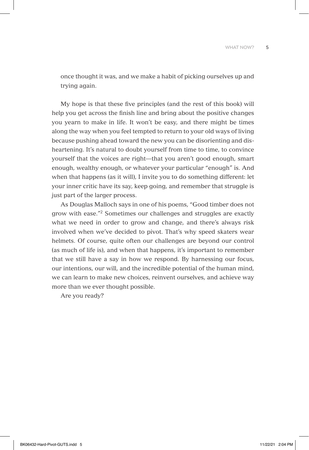once thought it was, and we make a habit of picking ourselves up and trying again.

My hope is that these five principles (and the rest of this book) will help you get across the finish line and bring about the positive changes you yearn to make in life. It won't be easy, and there might be times along the way when you feel tempted to return to your old ways of living because pushing ahead toward the new you can be disorienting and disheartening. It's natural to doubt yourself from time to time, to convince yourself that the voices are right—that you aren't good enough, smart enough, wealthy enough, or whatever your particular "enough" is. And when that happens (as it will), I invite you to do something different: let your inner critic have its say, keep going, and remember that struggle is just part of the larger process.

As Douglas Malloch says in one of his poems, "Good timber does not grow with ease."<sup>2</sup> Sometimes our challenges and struggles are exactly what we need in order to grow and change, and there's always risk involved when we've decided to pivot. That's why speed skaters wear helmets. Of course, quite often our challenges are beyond our control (as much of life is), and when that happens, it's important to remember that we still have a say in how we respond. By harnessing our focus, our intentions, our will, and the incredible potential of the human mind, we can learn to make new choices, reinvent ourselves, and achieve way more than we ever thought possible.

Are you ready?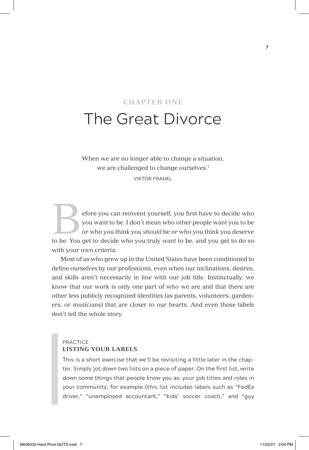### **CHAPTER ONE** The Great Divorce

When we are no longer able to change a situation, we are challenged to change ourselves.<sup>1</sup> VIKTOR FRANKL

efore you can reinvent yourself, you first have to decide who you want to be. I don't mean who other people want you to be or who you think you *should* be or who you think you deserve to be. You get to decide who you truly *want* to be, and you get to do so with your own criteria.

Most of us who grew up in the United States have been conditioned to define ourselves by our professions, even when our inclinations, desires, and skills aren't necessarily in line with our job title. Instinctually, we know that our work is only one part of who we are and that there are other less publicly recognized identities (as parents, volunteers, gardeners, or musicians) that are closer to our hearts. And even those labels don't tell the whole story.

#### PRACTICE **LISTING YOUR LABELS**

This is a short exercise that we'll be revisiting a little later in the chapter. Simply jot down two lists on a piece of paper. On the first list, write down some things that people know you as: your job titles and roles in your community, for example (this list includes labels such as "FedEx driver," "unemployed accountant," "kids' soccer coach," and "guy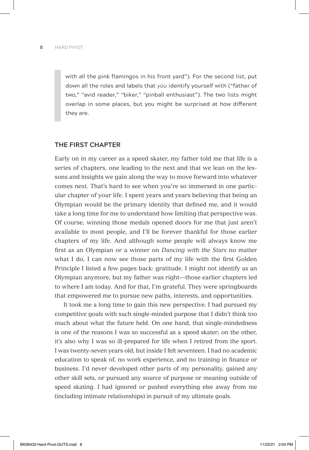with all the pink flamingos in his front yard"). For the second list, put down all the roles and labels that *you* identify yourself with ("father of two," "avid reader," "biker," "pinball enthusiast"). The two lists might overlap in some places, but you might be surprised at how different they are.

#### **THE FIRST CHAPTER**

Early on in my career as a speed skater, my father told me that life is a series of chapters, one leading to the next and that we lean on the lessons and insights we gain along the way to move forward into whatever comes next. That's hard to see when you're so immersed in one particular chapter of your life. I spent years and years believing that being an Olympian would be the primary identity that defined me, and it would take a long time for me to understand how limiting that perspective was. Of course, winning those medals opened doors for me that just aren't available to most people, and I'll be forever thankful for those earlier chapters of my life. And although some people will always know me first as an Olympian or a winner on *Dancing with the Stars* no matter what I do, I can now see those parts of my life with the first Golden Principle I listed a few pages back: gratitude. I might not identify as an Olympian anymore, but my father was right—those earlier chapters led to where I am today. And for that, I'm grateful. They were springboards that empowered me to pursue new paths, interests, and opportunities.

It took me a long time to gain this new perspective. I had pursued my competitive goals with such single-minded purpose that I didn't think too much about what the future held. On one hand, that single-mindedness is one of the reasons I was so successful as a speed skater; on the other, it's also why I was so ill-prepared for life when I retired from the sport. I was twenty-seven years old, but inside I felt seventeen. I had no academic education to speak of, no work experience, and no training in finance or business. I'd never developed other parts of my personality, gained any other skill sets, or pursued any source of purpose or meaning outside of speed skating. I had ignored or pushed everything else away from me (including intimate relationships) in pursuit of my ultimate goals.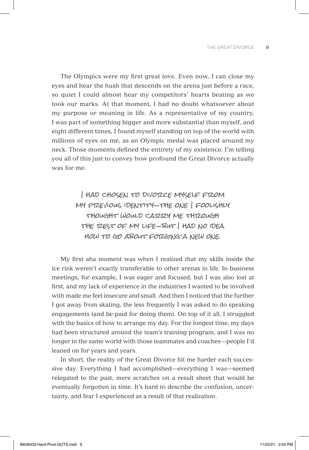The Olympics were my first great love. Even now, I can close my eyes and hear the hush that descends on the arena just before a race, so quiet I could almost hear my competitors' hearts beating as we took our marks. At that moment, I had no doubt whatsoever about my purpose or meaning in life. As a representative of my country, I was part of something bigger and more substantial than myself, and eight different times, I found myself standing on top of the world with millions of eyes on me, as an Olympic medal was placed around my neck. Those moments defined the entirety of my existence. I'm telling you all of this just to convey how profound the Great Divorce actually was for me.

> I had chosen to divorce myself from my previous identity—the one I foolishly thought would carry me through the rest of my life—but I had no idea how to go about forging a new one.

My first aha moment was when I realized that my skills inside the ice rink weren't exactly transferable to other arenas in life. In business meetings, for example, I was eager and focused, but I was also lost at first, and my lack of experience in the industries I wanted to be involved with made me feel insecure and small. And then I noticed that the further I got away from skating, the less frequently I was asked to do speaking engagements (and be paid for doing them). On top of it all, I struggled with the basics of how to arrange my day. For the longest time, my days had been structured around the team's training program, and I was no longer in the same world with those teammates and coaches—people I'd leaned on for years and years.

In short, the reality of the Great Divorce hit me harder each successive day. Everything I had accomplished—everything I *was*—seemed relegated to the past, mere scratches on a result sheet that would be eventually forgotten in time. It's hard to describe the confusion, uncertainty, and fear I experienced as a result of that realization.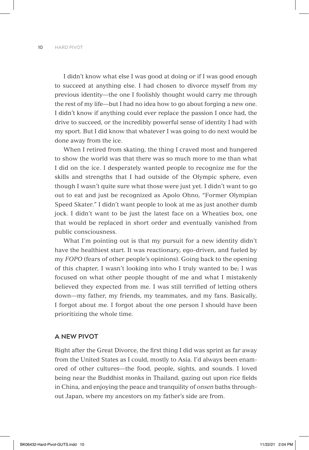I didn't know what else I was good at doing or if I was good enough to succeed at anything else. I had chosen to divorce myself from my previous identity—the one I foolishly thought would carry me through the rest of my life—but I had no idea how to go about forging a new one. I didn't know if anything could ever replace the passion I once had, the drive to succeed, or the incredibly powerful sense of identity I had with my sport. But I did know that whatever I was going to do next would be done away from the ice.

When I retired from skating, the thing I craved most and hungered to show the world was that there was so much more to me than what I did on the ice. I desperately wanted people to recognize me for the skills and strengths that I had outside of the Olympic sphere, even though I wasn't quite sure what those were just yet. I didn't want to go out to eat and just be recognized as Apolo Ohno, "Former Olympian Speed Skater." I didn't want people to look at me as just another dumb jock. I didn't want to be just the latest face on a Wheaties box, one that would be replaced in short order and eventually vanished from public consciousness.

What I'm pointing out is that my pursuit for a new identity didn't have the healthiest start. It was reactionary, ego-driven, and fueled by my *FOPO* (fears of other people's opinions). Going back to the opening of this chapter, I wasn't looking into who I truly wanted to be; I was focused on what other people thought of me and what I mistakenly believed they expected from me. I was still terrified of letting others down—my father, my friends, my teammates, and my fans. Basically, I forgot about me. I forgot about the one person I should have been prioritizing the whole time.

#### **A NEW PIVOT**

Right after the Great Divorce, the first thing I did was sprint as far away from the United States as I could, mostly to Asia. I'd always been enamored of other cultures—the food, people, sights, and sounds. I loved being near the Buddhist monks in Thailand, gazing out upon rice fields in China, and enjoying the peace and tranquility of *onsen* baths throughout Japan, where my ancestors on my father's side are from.